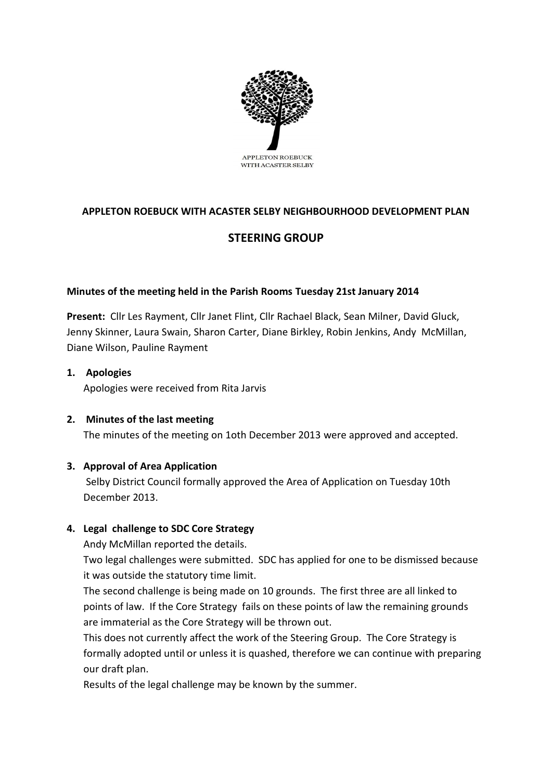

# **APPLETON ROEBUCK WITH ACASTER SELBY NEIGHBOURHOOD DEVELOPMENT PLAN**

## **STEERING GROUP**

## **Minutes of the meeting held in the Parish Rooms Tuesday 21st January 2014**

**Present:** Cllr Les Rayment, Cllr Janet Flint, Cllr Rachael Black, Sean Milner, David Gluck, Jenny Skinner, Laura Swain, Sharon Carter, Diane Birkley, Robin Jenkins, Andy McMillan, Diane Wilson, Pauline Rayment

#### **1. Apologies**

Apologies were received from Rita Jarvis

**2. Minutes of the last meeting** The minutes of the meeting on 1oth December 2013 were approved and accepted.

## **3. Approval of Area Application**

Selby District Council formally approved the Area of Application on Tuesday 10th December 2013.

## **4. Legal challenge to SDC Core Strategy**

Andy McMillan reported the details.

Two legal challenges were submitted. SDC has applied for one to be dismissed because it was outside the statutory time limit.

The second challenge is being made on 10 grounds. The first three are all linked to points of law. If the Core Strategy fails on these points of law the remaining grounds are immaterial as the Core Strategy will be thrown out.

This does not currently affect the work of the Steering Group. The Core Strategy is formally adopted until or unless it is quashed, therefore we can continue with preparing our draft plan.

Results of the legal challenge may be known by the summer.